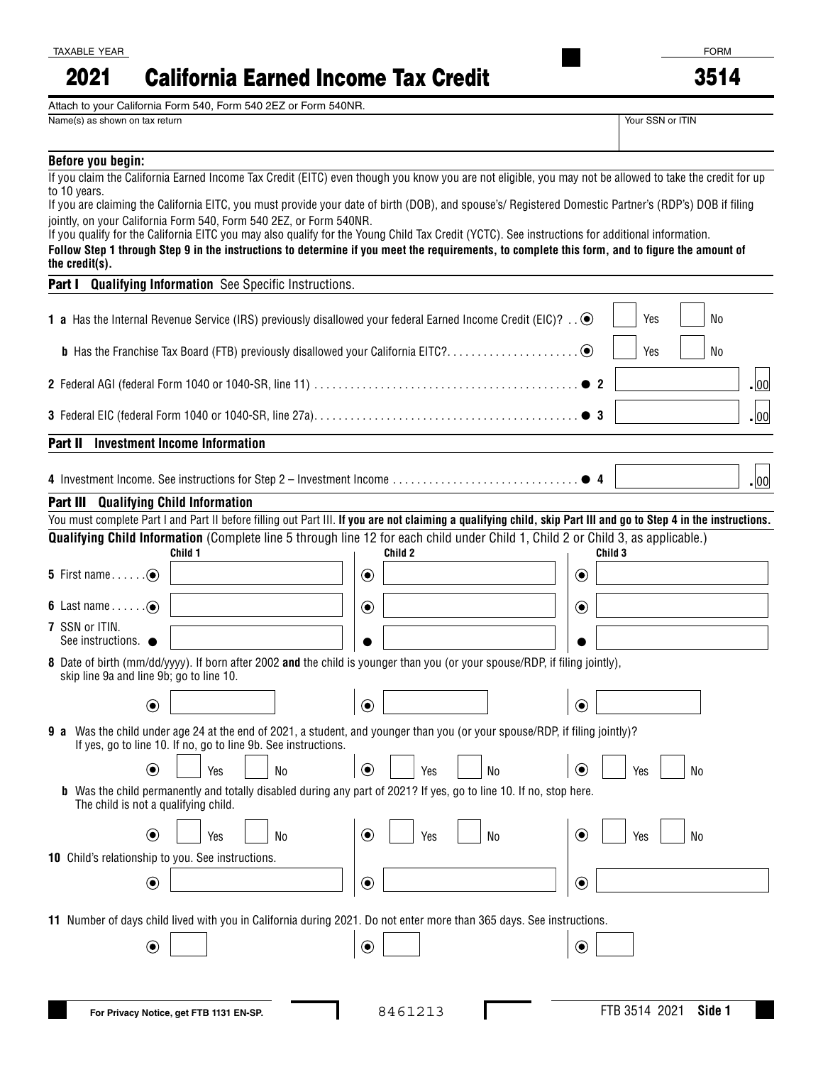## California Earned Income Tax Credit 2021

Attach to your California Form 540, Form 540 2EZ or Form 540NR.

Name(s) as shown on tax return  $\blacksquare$ 

| our SSN or ITIN |  |  |
|-----------------|--|--|

| Before you begin:                                 |                                                                                                                                                                                                                                                   |                                                                                                                                                                                                                                                           |                |                                                                                                                                                                                                                                                                                                   |
|---------------------------------------------------|---------------------------------------------------------------------------------------------------------------------------------------------------------------------------------------------------------------------------------------------------|-----------------------------------------------------------------------------------------------------------------------------------------------------------------------------------------------------------------------------------------------------------|----------------|---------------------------------------------------------------------------------------------------------------------------------------------------------------------------------------------------------------------------------------------------------------------------------------------------|
| to 10 years.                                      |                                                                                                                                                                                                                                                   |                                                                                                                                                                                                                                                           |                | If you claim the California Earned Income Tax Credit (EITC) even though you know you are not eligible, you may not be allowed to take the credit for up                                                                                                                                           |
|                                                   |                                                                                                                                                                                                                                                   |                                                                                                                                                                                                                                                           |                | If you are claiming the California EITC, you must provide your date of birth (DOB), and spouse's/ Registered Domestic Partner's (RDP's) DOB if filing                                                                                                                                             |
|                                                   | jointly, on your California Form 540, Form 540 2EZ, or Form 540NR.                                                                                                                                                                                |                                                                                                                                                                                                                                                           |                |                                                                                                                                                                                                                                                                                                   |
|                                                   |                                                                                                                                                                                                                                                   |                                                                                                                                                                                                                                                           |                | If you qualify for the California EITC you may also qualify for the Young Child Tax Credit (YCTC). See instructions for additional information.<br>Follow Step 1 through Step 9 in the instructions to determine if you meet the requirements, to complete this form, and to figure the amount of |
| the credit(s).                                    |                                                                                                                                                                                                                                                   |                                                                                                                                                                                                                                                           |                |                                                                                                                                                                                                                                                                                                   |
| Part I                                            | <b>Qualifying Information</b> See Specific Instructions.                                                                                                                                                                                          |                                                                                                                                                                                                                                                           |                |                                                                                                                                                                                                                                                                                                   |
|                                                   |                                                                                                                                                                                                                                                   |                                                                                                                                                                                                                                                           |                |                                                                                                                                                                                                                                                                                                   |
|                                                   | 1 a Has the Internal Revenue Service (IRS) previously disallowed your federal Earned Income Credit (EIC)? $\ldots$ $\bullet$                                                                                                                      |                                                                                                                                                                                                                                                           |                | Yes<br>No                                                                                                                                                                                                                                                                                         |
|                                                   | <b>b</b> Has the Franchise Tax Board (FTB) previously disallowed your California EITC?                                                                                                                                                            |                                                                                                                                                                                                                                                           |                | $\odot$<br>Yes<br>No                                                                                                                                                                                                                                                                              |
|                                                   |                                                                                                                                                                                                                                                   |                                                                                                                                                                                                                                                           |                |                                                                                                                                                                                                                                                                                                   |
|                                                   |                                                                                                                                                                                                                                                   |                                                                                                                                                                                                                                                           |                | .00                                                                                                                                                                                                                                                                                               |
|                                                   |                                                                                                                                                                                                                                                   |                                                                                                                                                                                                                                                           |                | D 3<br>.  00                                                                                                                                                                                                                                                                                      |
|                                                   |                                                                                                                                                                                                                                                   |                                                                                                                                                                                                                                                           |                |                                                                                                                                                                                                                                                                                                   |
| Part II                                           | <b>Investment Income Information</b>                                                                                                                                                                                                              |                                                                                                                                                                                                                                                           |                |                                                                                                                                                                                                                                                                                                   |
|                                                   | 4 Investment Income. See instructions for Step 2 - Investment Income                                                                                                                                                                              |                                                                                                                                                                                                                                                           |                | .  00                                                                                                                                                                                                                                                                                             |
| <b>Part III</b> Qualifying Child Information      |                                                                                                                                                                                                                                                   |                                                                                                                                                                                                                                                           |                |                                                                                                                                                                                                                                                                                                   |
|                                                   |                                                                                                                                                                                                                                                   |                                                                                                                                                                                                                                                           |                | You must complete Part I and Part II before filling out Part III. If you are not claiming a qualifying child, skip Part III and go to Step 4 in the instructions.                                                                                                                                 |
|                                                   |                                                                                                                                                                                                                                                   |                                                                                                                                                                                                                                                           |                | <b>Qualifying Child Information</b> (Complete line 5 through line 12 for each child under Child 1, Child 2 or Child 3, as applicable.)                                                                                                                                                            |
|                                                   | Child 1                                                                                                                                                                                                                                           | Child 2                                                                                                                                                                                                                                                   |                | Child 3                                                                                                                                                                                                                                                                                           |
|                                                   |                                                                                                                                                                                                                                                   | $\bigcirc$                                                                                                                                                                                                                                                |                | $\textcircled{\small\bullet}$                                                                                                                                                                                                                                                                     |
| 6 Last name $\ldots$ . $\odot$                    |                                                                                                                                                                                                                                                   | $\odot$                                                                                                                                                                                                                                                   |                | $\odot$                                                                                                                                                                                                                                                                                           |
| 7 SSN or ITIN.                                    |                                                                                                                                                                                                                                                   |                                                                                                                                                                                                                                                           |                |                                                                                                                                                                                                                                                                                                   |
| See instructions.                                 |                                                                                                                                                                                                                                                   |                                                                                                                                                                                                                                                           |                |                                                                                                                                                                                                                                                                                                   |
| skip line 9a and line 9b; go to line 10.          | 8 Date of birth (mm/dd/yyyy). If born after 2002 and the child is younger than you (or your spouse/RDP, if filing jointly),                                                                                                                       |                                                                                                                                                                                                                                                           |                |                                                                                                                                                                                                                                                                                                   |
| $\textcircled{\small{\bullet}}$                   |                                                                                                                                                                                                                                                   | $\odot$                                                                                                                                                                                                                                                   |                | $\circledbullet$                                                                                                                                                                                                                                                                                  |
|                                                   | 9 a Was the child under age 24 at the end of 2021, a student, and younger than you (or your spouse/RDP, if filing jointly)?<br>If yes, go to line 10. If no, go to line 9b. See instructions.                                                     |                                                                                                                                                                                                                                                           |                |                                                                                                                                                                                                                                                                                                   |
| $\bf \odot$                                       | <u>and the state of the state of the state of the state of the state of the state of the state of the state of the state of the state of the state of the state of the state of the state of the state of the state of the state</u><br>Yes<br>No | <u>in the second contract of the second contract of the second contract of the second contract of the second contract of the second contract of the second contract of the second contract of the second contract of the second </u><br>$\bigcirc$<br>Yes | N <sub>0</sub> | $\circledbullet$<br>Yes<br>No                                                                                                                                                                                                                                                                     |
| The child is not a qualifying child.              | <b>b</b> Was the child permanently and totally disabled during any part of 2021? If yes, go to line 10. If no, stop here.                                                                                                                         |                                                                                                                                                                                                                                                           |                |                                                                                                                                                                                                                                                                                                   |
| $\bf{O}$                                          | Yes<br>No                                                                                                                                                                                                                                         | $\circledbullet$<br>Yes                                                                                                                                                                                                                                   | No             | $\circledbullet$<br>No<br>Yes                                                                                                                                                                                                                                                                     |
|                                                   |                                                                                                                                                                                                                                                   |                                                                                                                                                                                                                                                           |                |                                                                                                                                                                                                                                                                                                   |
| 10 Child's relationship to you. See instructions. |                                                                                                                                                                                                                                                   |                                                                                                                                                                                                                                                           |                |                                                                                                                                                                                                                                                                                                   |
| $\boldsymbol{\odot}$                              |                                                                                                                                                                                                                                                   | $\bigcirc$                                                                                                                                                                                                                                                |                | $\bf{C}$                                                                                                                                                                                                                                                                                          |
|                                                   |                                                                                                                                                                                                                                                   |                                                                                                                                                                                                                                                           |                |                                                                                                                                                                                                                                                                                                   |
|                                                   | 11 Number of days child lived with you in California during 2021. Do not enter more than 365 days. See instructions.                                                                                                                              |                                                                                                                                                                                                                                                           |                |                                                                                                                                                                                                                                                                                                   |
| $\boldsymbol{\odot}$                              |                                                                                                                                                                                                                                                   | $\bullet$                                                                                                                                                                                                                                                 |                | $\bullet$                                                                                                                                                                                                                                                                                         |
|                                                   |                                                                                                                                                                                                                                                   |                                                                                                                                                                                                                                                           |                |                                                                                                                                                                                                                                                                                                   |
|                                                   |                                                                                                                                                                                                                                                   |                                                                                                                                                                                                                                                           |                |                                                                                                                                                                                                                                                                                                   |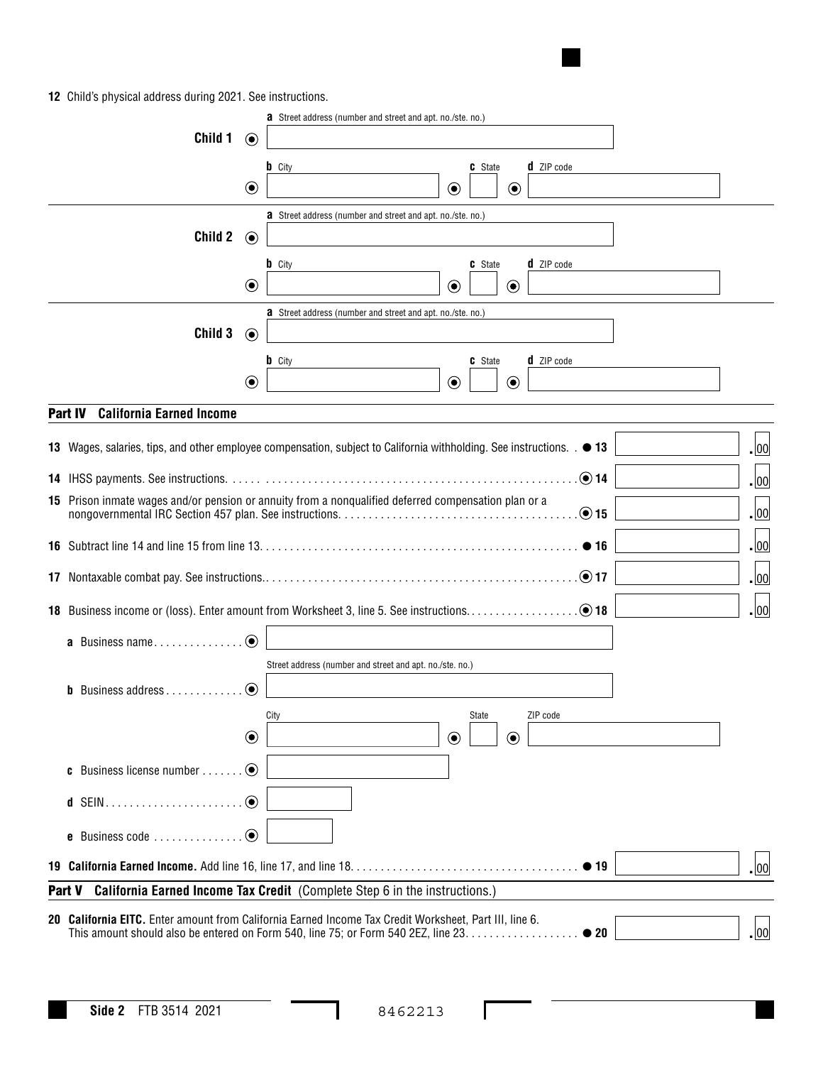**12** Child's physical address during 2021. See instructions.

|                                                                                             |            | <b>a</b> Street address (number and street and apt. no./ste. no.)                                                      |                  |  |
|---------------------------------------------------------------------------------------------|------------|------------------------------------------------------------------------------------------------------------------------|------------------|--|
| Child 1                                                                                     | $\odot$    |                                                                                                                        |                  |  |
|                                                                                             |            | <b>b</b> City<br>C State<br><b>d</b> ZIP code                                                                          |                  |  |
|                                                                                             | $\odot$    | $\odot$<br>$\odot$                                                                                                     |                  |  |
|                                                                                             |            | <b>a</b> Street address (number and street and apt. no./ste. no.)                                                      |                  |  |
| Child 2                                                                                     | $\odot$    |                                                                                                                        |                  |  |
|                                                                                             |            | d ZIP code<br><b>b</b> City<br><b>C</b> State                                                                          |                  |  |
|                                                                                             | $\odot$    | $\odot$<br>$\odot$                                                                                                     |                  |  |
| Child 3                                                                                     |            | <b>a</b> Street address (number and street and apt. no./ste. no.)                                                      |                  |  |
|                                                                                             | $\odot$    |                                                                                                                        |                  |  |
|                                                                                             | $\odot$    | <b>b</b> City<br>C State<br><b>d</b> ZIP code<br>$\odot$<br>$\bf \odot$                                                |                  |  |
|                                                                                             |            |                                                                                                                        |                  |  |
| <b>California Earned Income</b><br>Part IV                                                  |            |                                                                                                                        |                  |  |
|                                                                                             |            | 13 Wages, salaries, tips, and other employee compensation, subject to California withholding. See instructions. . • 13 | $\cdot$ 00       |  |
|                                                                                             |            | $\odot$ 14                                                                                                             | $\overline{.}00$ |  |
|                                                                                             |            | 15 Prison inmate wages and/or pension or annuity from a nonqualified deferred compensation plan or a                   |                  |  |
|                                                                                             |            | $\odot$ 15                                                                                                             | $\overline{.}00$ |  |
|                                                                                             |            | • 16                                                                                                                   | $\overline{.}00$ |  |
|                                                                                             |            | $\odot$ 17                                                                                                             | $\cdot$ 00       |  |
|                                                                                             |            |                                                                                                                        | .  00            |  |
|                                                                                             | $\odot$    |                                                                                                                        |                  |  |
| <b>a</b> Business name                                                                      |            | Street address (number and street and apt. no./ste. no.)                                                               |                  |  |
| <b>b</b> Business address $\ldots$ , $\ldots$                                               | $\odot$    |                                                                                                                        |                  |  |
|                                                                                             |            | ZIP code<br>State<br>City                                                                                              |                  |  |
|                                                                                             | $\bigcirc$ | $\odot$<br>$\bf \odot$                                                                                                 |                  |  |
|                                                                                             |            |                                                                                                                        |                  |  |
| <b>c</b> Business license number                                                            | $\odot$    |                                                                                                                        |                  |  |
| <b>d</b> SEIN                                                                               | $\odot$    |                                                                                                                        |                  |  |
| e Business code                                                                             | $\odot$    |                                                                                                                        |                  |  |
|                                                                                             |            |                                                                                                                        | $\cdot$ 00       |  |
| <b>California Earned Income Tax Credit</b> (Complete Step 6 in the instructions.)<br>Part V |            |                                                                                                                        |                  |  |
|                                                                                             |            | 20 California EITC. Enter amount from California Earned Income Tax Credit Worksheet, Part III, line 6.                 |                  |  |
|                                                                                             |            | This amount should also be entered on Form 540, line 75; or Form 540 2EZ, line 23.<br>$\bullet$ 20                     | $\cdot$ 00       |  |

I